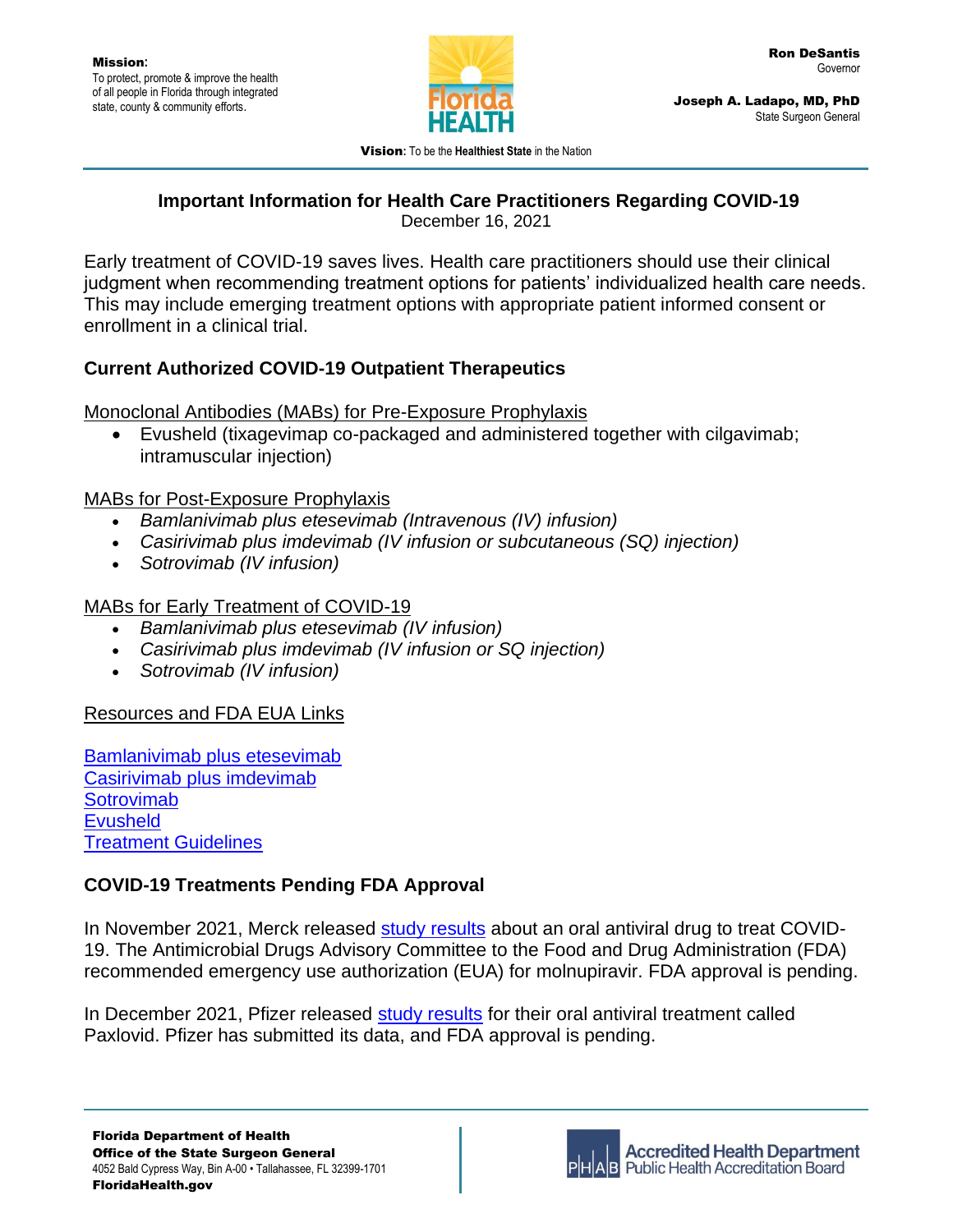

Joseph A. Ladapo, MD, PhD State Surgeon General

Vision**:** To be the **Healthiest State** in the Nation

# **Important Information for Health Care Practitioners Regarding COVID-19**

December 16, 2021

Early treatment of COVID-19 saves lives. Health care practitioners should use their clinical judgment when recommending treatment options for patients' individualized health care needs. This may include emerging treatment options with appropriate patient informed consent or enrollment in a clinical trial.

### **Current Authorized COVID-19 Outpatient Therapeutics**

Monoclonal Antibodies (MABs) for Pre-Exposure Prophylaxis

• Evusheld (tixagevimap co-packaged and administered together with cilgavimab; intramuscular injection)

#### MABs for Post-Exposure Prophylaxis

- *Bamlanivimab plus etesevimab (Intravenous (IV) infusion)*
- *Casirivimab plus imdevimab (IV infusion or subcutaneous (SQ) injection)*
- *Sotrovimab (IV infusion)*

## MABs for Early Treatment of COVID-19

- *Bamlanivimab plus etesevimab (IV infusion)*
- *Casirivimab plus imdevimab (IV infusion or SQ injection)*
- *Sotrovimab (IV infusion)*

### Resources and FDA EUA Links

[Bamlanivimab plus etesevimab](https://www.fda.gov/media/145802/download) [Casirivimab plus imdevimab](https://www.fda.gov/media/145611/download) **[Sotrovimab](https://www.sotrovimab.com/content/dam/cf-pharma/hcp-sotrovimab-phase2/en_US/sotrovimab-fda-letter-of-authorization.pdf) [Evusheld](https://www.fda.gov/media/154701/download)** [Treatment Guidelines](https://www.covid19treatmentguidelines.nih.gov/therapies/anti-sars-cov-2-antibody-products/anti-sars-cov-2-monoclonal-antibodies/)

## **COVID-19 Treatments Pending FDA Approval**

In November 2021, Merck released [study results](https://www.ncbi.nlm.nih.gov/pmc/articles/PMC8219109/) about an oral antiviral drug to treat COVID-19. The Antimicrobial Drugs Advisory Committee to the Food and Drug Administration (FDA) recommended emergency use authorization (EUA) for molnupiravir. FDA approval is pending.

In December 2021, Pfizer released [study results](https://www.pfizer.com/news/press-release/press-release-detail/pfizers-novel-covid-19-oral-antiviral-treatment-candidate) for their oral antiviral treatment called Paxlovid. Pfizer has submitted its data, and FDA approval is pending.